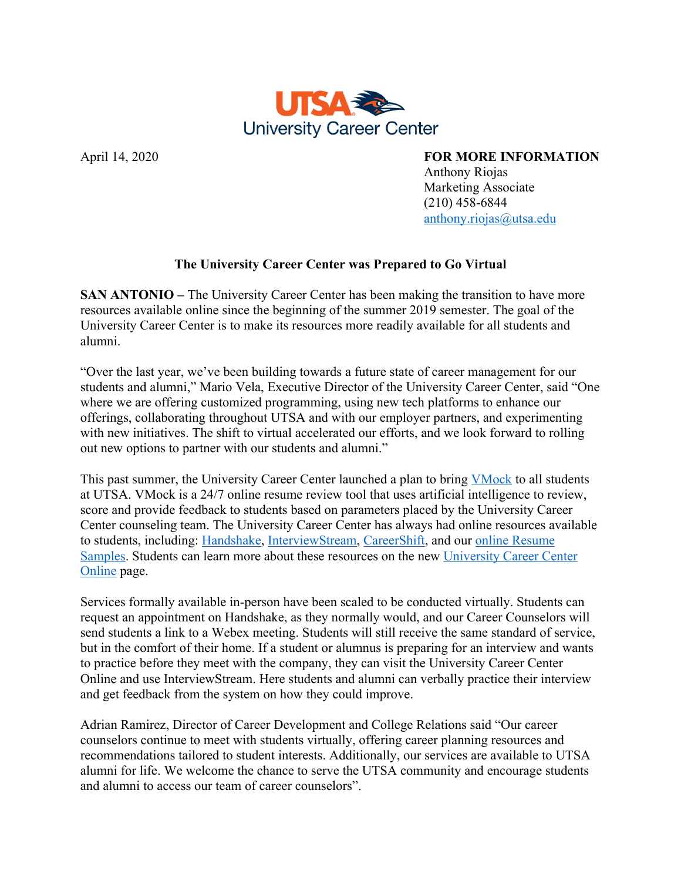

April 14, 2020 **FOR MORE INFORMATION** 

 Anthony Riojas Marketing Associate (210) 458-6844 anthony.riojas@utsa.edu

## **The University Career Center was Prepared to Go Virtual**

**SAN ANTONIO –** The University Career Center has been making the transition to have more resources available online since the beginning of the summer 2019 semester. The goal of the University Career Center is to make its resources more readily available for all students and alumni.

"Over the last year, we've been building towards a future state of career management for our students and alumni," Mario Vela, Executive Director of the University Career Center, said "One where we are offering customized programming, using new tech platforms to enhance our offerings, collaborating throughout UTSA and with our employer partners, and experimenting with new initiatives. The shift to virtual accelerated our efforts, and we look forward to rolling out new options to partner with our students and alumni."

This past summer, the University Career Center launched a plan to bring VMock to all students at UTSA. VMock is a 24/7 online resume review tool that uses artificial intelligence to review, score and provide feedback to students based on parameters placed by the University Career Center counseling team. The University Career Center has always had online resources available to students, including: Handshake, InterviewStream, CareerShift, and our online Resume Samples. Students can learn more about these resources on the new University Career Center Online page.

Services formally available in-person have been scaled to be conducted virtually. Students can request an appointment on Handshake, as they normally would, and our Career Counselors will send students a link to a Webex meeting. Students will still receive the same standard of service, but in the comfort of their home. If a student or alumnus is preparing for an interview and wants to practice before they meet with the company, they can visit the University Career Center Online and use InterviewStream. Here students and alumni can verbally practice their interview and get feedback from the system on how they could improve.

Adrian Ramirez, Director of Career Development and College Relations said "Our career counselors continue to meet with students virtually, offering career planning resources and recommendations tailored to student interests. Additionally, our services are available to UTSA alumni for life. We welcome the chance to serve the UTSA community and encourage students and alumni to access our team of career counselors".